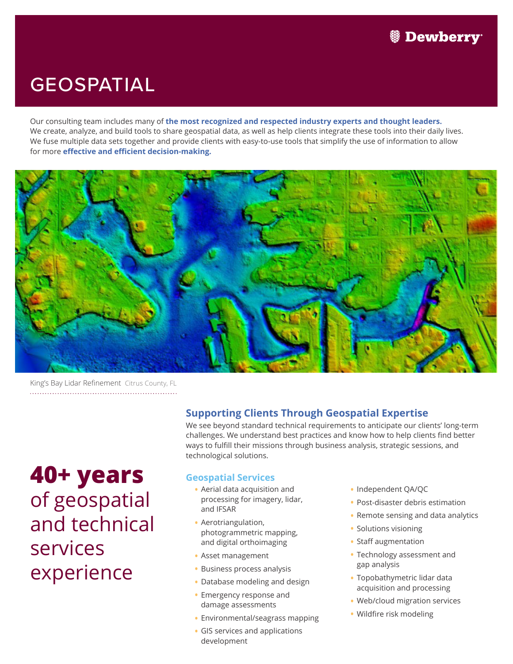### GEOSPATIAL

Our consulting team includes many of **the most recognized and respected industry experts and thought leaders.**  We create, analyze, and build tools to share geospatial data, as well as help clients integrate these tools into their daily lives. We fuse multiple data sets together and provide clients with easy-to-use tools that simplify the use of information to allow for more **effective and efficient decision-making.**



King's Bay Lidar Refinement Citrus County, FL 

## **40+ years** of geospatial and technical services experience

### **Supporting Clients Through Geospatial Expertise**

We see beyond standard technical requirements to anticipate our clients' long-term challenges. We understand best practices and know how to help clients find better ways to fulfill their missions through business analysis, strategic sessions, and technological solutions.

### **Geospatial Services**

- Aerial data acquisition and processing for imagery, lidar, and IFSAR
- Aerotriangulation, photogrammetric mapping, and digital orthoimaging
- Asset management
- Business process analysis
- Database modeling and design
- Emergency response and damage assessments
- Environmental/seagrass mapping
- GIS services and applications development
- •Independent QA/QC
- Post-disaster debris estimation
- Remote sensing and data analytics
- Solutions visioning
- Staff augmentation
- Technology assessment and gap analysis
- Topobathymetric lidar data acquisition and processing
- Web/cloud migration services
- Wildfire risk modeling